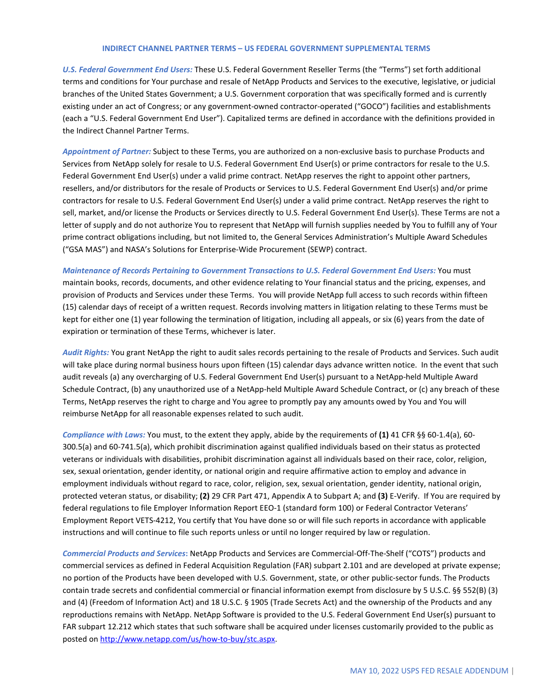## **INDIRECT CHANNEL PARTNER TERMS – US FEDERAL GOVERNMENT SUPPLEMENTAL TERMS**

*U.S. Federal Government End Users:* These U.S. Federal Government Reseller Terms (the "Terms") set forth additional terms and conditions for Your purchase and resale of NetApp Products and Services to the executive, legislative, or judicial branches of the United States Government; a U.S. Government corporation that was specifically formed and is currently existing under an act of Congress; or any government-owned contractor-operated ("GOCO") facilities and establishments (each a "U.S. Federal Government End User"). Capitalized terms are defined in accordance with the definitions provided in the Indirect Channel Partner Terms.

*Appointment of Partner:* Subject to these Terms, you are authorized on a non-exclusive basis to purchase Products and Services from NetApp solely for resale to U.S. Federal Government End User(s) or prime contractors for resale to the U.S. Federal Government End User(s) under a valid prime contract. NetApp reserves the right to appoint other partners, resellers, and/or distributors for the resale of Products or Services to U.S. Federal Government End User(s) and/or prime contractors for resale to U.S. Federal Government End User(s) under a valid prime contract. NetApp reserves the right to sell, market, and/or license the Products or Services directly to U.S. Federal Government End User(s). These Terms are not a letter of supply and do not authorize You to represent that NetApp will furnish supplies needed by You to fulfill any of Your prime contract obligations including, but not limited to, the General Services Administration's Multiple Award Schedules ("GSA MAS") and NASA's Solutions for Enterprise-Wide Procurement (SEWP) contract.

## *Maintenance of Records Pertaining to Government Transactions to U.S. Federal Government End Users:* You must

maintain books, records, documents, and other evidence relating to Your financial status and the pricing, expenses, and provision of Products and Services under these Terms. You will provide NetApp full access to such records within fifteen (15) calendar days of receipt of a written request. Records involving matters in litigation relating to these Terms must be kept for either one (1) year following the termination of litigation, including all appeals, or six (6) years from the date of expiration or termination of these Terms, whichever is later.

*Audit Rights:* You grant NetApp the right to audit sales records pertaining to the resale of Products and Services. Such audit will take place during normal business hours upon fifteen (15) calendar days advance written notice. In the event that such audit reveals (a) any overcharging of U.S. Federal Government End User(s) pursuant to a NetApp-held Multiple Award Schedule Contract, (b) any unauthorized use of a NetApp-held Multiple Award Schedule Contract, or (c) any breach of these Terms, NetApp reserves the right to charge and You agree to promptly pay any amounts owed by You and You will reimburse NetApp for all reasonable expenses related to such audit.

*Compliance with Laws:* You must, to the extent they apply, abide by the requirements of **(1)** 41 CFR §§ 60-1.4(a), 60- 300.5(a) and 60-741.5(a), which prohibit discrimination against qualified individuals based on their status as protected veterans or individuals with disabilities, prohibit discrimination against all individuals based on their race, color, religion, sex, sexual orientation, gender identity, or national origin and require affirmative action to employ and advance in employment individuals without regard to race, color, religion, sex, sexual orientation, gender identity, national origin, protected veteran status, or disability; **(2)** 29 CFR Part 471, Appendix A to Subpart A; and **(3)** E-Verify. If You are required by federal regulations to file Employer Information Report EEO-1 (standard form 100) or Federal Contractor Veterans' Employment Report VETS-4212, You certify that You have done so or will file such reports in accordance with applicable instructions and will continue to file such reports unless or until no longer required by law or regulation.

*Commercial Products and Services***:** NetApp Products and Services are Commercial-Off-The-Shelf ("COTS") products and commercial services as defined in Federal Acquisition Regulation (FAR) subpart 2.101 and are developed at private expense; no portion of the Products have been developed with U.S. Government, state, or other public-sector funds. The Products contain trade secrets and confidential commercial or financial information exempt from disclosure by 5 U.S.C. §§ 552(B) (3) and (4) (Freedom of Information Act) and 18 U.S.C. § 1905 (Trade Secrets Act) and the ownership of the Products and any reproductions remains with NetApp. NetApp Software is provided to the U.S. Federal Government End User(s) pursuant to FAR subpart 12.212 which states that such software shall be acquired under licenses customarily provided to the public as posted on [http://www.netapp.com/us/how-to-buy/stc.aspx.](http://www.netapp.com/us/how-to-buy/stc.aspx)